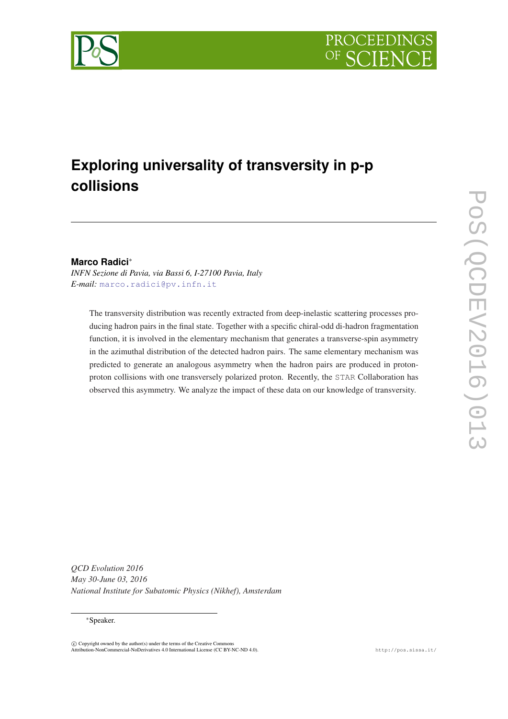

# **Exploring universality of transversity in p-p collisions**

# **Marco Radici**<sup>∗</sup>

*INFN Sezione di Pavia, via Bassi 6, I-27100 Pavia, Italy E-mail:* [marco.radici@pv.infn.it](mailto:marco.radici@pv.infn.it)

The transversity distribution was recently extracted from deep-inelastic scattering processes producing hadron pairs in the final state. Together with a specific chiral-odd di-hadron fragmentation function, it is involved in the elementary mechanism that generates a transverse-spin asymmetry in the azimuthal distribution of the detected hadron pairs. The same elementary mechanism was predicted to generate an analogous asymmetry when the hadron pairs are produced in protonproton collisions with one transversely polarized proton. Recently, the STAR Collaboration has observed this asymmetry. We analyze the impact of these data on our knowledge of transversity.

*QCD Evolution 2016 May 30-June 03, 2016 National Institute for Subatomic Physics (Nikhef), Amsterdam*

#### <sup>∗</sup>Speaker.

 $\overline{c}$  Copyright owned by the author(s) under the terms of the Creative Common Attribution-NonCommercial-NoDerivatives 4.0 International License (CC BY-NC-ND 4.0). http://pos.sissa.it/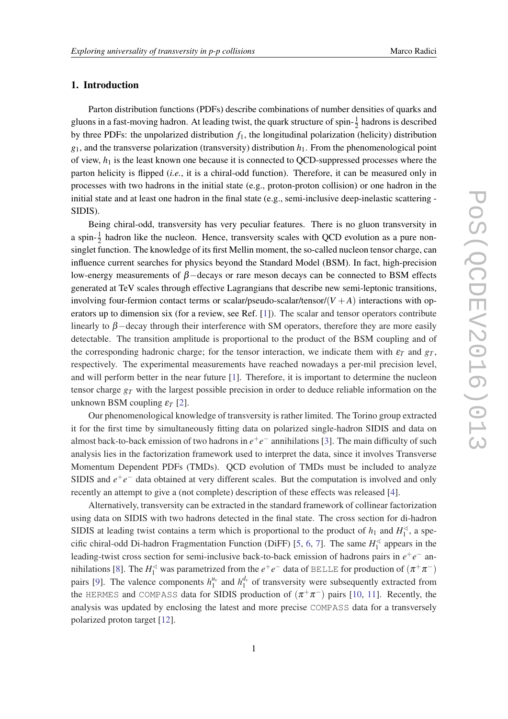### 1. Introduction

Parton distribution functions (PDFs) describe combinations of number densities of quarks and gluons in a fast-moving hadron. At leading twist, the quark structure of spin- $\frac{1}{2}$  hadrons is described by three PDFs: the unpolarized distribution *f*1, the longitudinal polarization (helicity) distribution  $g_1$ , and the transverse polarization (transversity) distribution  $h_1$ . From the phenomenological point of view, *h*<sup>1</sup> is the least known one because it is connected to QCD-suppressed processes where the parton helicity is flipped (*i.e.*, it is a chiral-odd function). Therefore, it can be measured only in processes with two hadrons in the initial state (e.g., proton-proton collision) or one hadron in the initial state and at least one hadron in the final state (e.g., semi-inclusive deep-inelastic scattering - SIDIS).

Being chiral-odd, transversity has very peculiar features. There is no gluon transversity in a spin- $\frac{1}{2}$  hadron like the nucleon. Hence, transversity scales with QCD evolution as a pure nonsinglet function. The knowledge of its first Mellin moment, the so-called nucleon tensor charge, can influence current searches for physics beyond the Standard Model (BSM). In fact, high-precision low-energy measurements of  $\beta$  –decays or rare meson decays can be connected to BSM effects generated at TeV scales through effective Lagrangians that describe new semi-leptonic transitions, involving four-fermion contact terms or scalar/pseudo-scalar/tensor/ $(V + A)$  interactions with operators up to dimension six (for a review, see Ref. [\[1\]](#page-9-0)). The scalar and tensor operators contribute linearly to  $\beta$  –decay through their interference with SM operators, therefore they are more easily detectable. The transition amplitude is proportional to the product of the BSM coupling and of the corresponding hadronic charge; for the tensor interaction, we indicate them with  $\varepsilon_T$  and  $g_T$ , respectively. The experimental measurements have reached nowadays a per-mil precision level, and will perform better in the near future [[1](#page-9-0)]. Therefore, it is important to determine the nucleon tensor charge *g<sup>T</sup>* with the largest possible precision in order to deduce reliable information on the unknown BSM coupling  $\varepsilon_T$  [\[2\]](#page-9-0).

Our phenomenological knowledge of transversity is rather limited. The Torino group extracted it for the first time by simultaneously fitting data on polarized single-hadron SIDIS and data on almost back-to-back emission of two hadrons in  $e^+e^-$  annihilations [\[3\]](#page-9-0). The main difficulty of such analysis lies in the factorization framework used to interpret the data, since it involves Transverse Momentum Dependent PDFs (TMDs). QCD evolution of TMDs must be included to analyze SIDIS and  $e^+e^-$  data obtained at very different scales. But the computation is involved and only recently an attempt to give a (not complete) description of these effects was released [[4](#page-9-0)].

Alternatively, transversity can be extracted in the standard framework of collinear factorization using data on SIDIS with two hadrons detected in the final state. The cross section for di-hadron SIDIS at leading twist contains a term which is proportional to the product of  $h_1$  and  $H_1^{\leq}$  $i_1^{\triangleleft}$ , a spe-cific chiral-odd Di-hadron Fragmentation Function (DiFF) [\[5,](#page-9-0) [6](#page-9-0), [7](#page-9-0)]. The same  $H_1^{\leq}$  $\int_1^4$  appears in the leading-twist cross section for semi-inclusive back-to-back emission of hadrons pairs in *e*<sup>+</sup>*e*<sup>−</sup> an-nihilations [[8](#page-9-0)]. The  $H_1^{\leq}$  was parametrized from the  $e^+e^-$  data of BELLE for production of  $(\pi^+\pi^-)$ pairs [[9](#page-9-0)]. The valence components  $h_1^{u_v}$  and  $h_1^{d_v}$  of transversity were subsequently extracted from the HERMES and COMPASS data for SIDIS production of  $(\pi^+\pi^-)$  pairs [\[10,](#page-9-0) [11](#page-9-0)]. Recently, the analysis was updated by enclosing the latest and more precise COMPASS data for a transversely polarized proton target [[12\]](#page-9-0).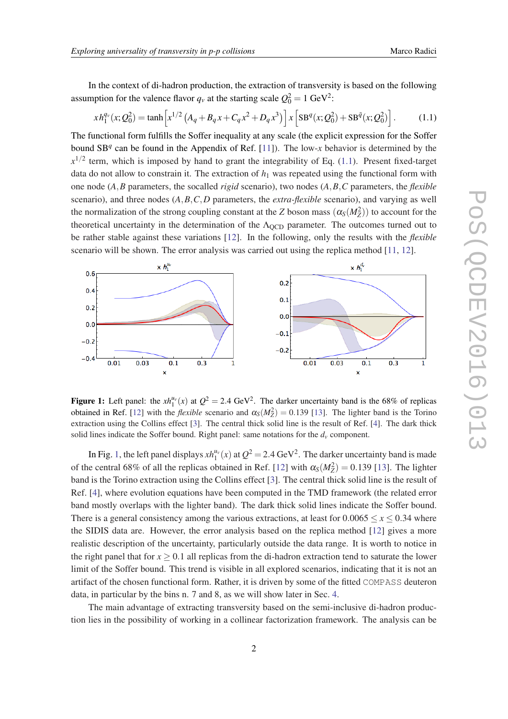<span id="page-2-0"></span>
$$
xh_1^{q_v}(x; Q_0^2) = \tanh\left[x^{1/2}\left(A_q + B_q x + C_q x^2 + D_q x^3\right)\right]x\left[\text{SB}^q(x; Q_0^2) + \text{SB}^{\bar{q}}(x; Q_0^2)\right].\tag{1.1}
$$

The functional form fulfills the Soffer inequality at any scale (the explicit expression for the Soffer bound SB<sup>q</sup> can be found in the Appendix of Ref. [\[11](#page-9-0)]). The low-x behavior is determined by the  $x^{1/2}$  term, which is imposed by hand to grant the integrability of Eq. (1.1). Present fixed-target data do not allow to constrain it. The extraction of  $h_1$  was repeated using the functional form with one node (*A*,*B* parameters, the socalled *rigid* scenario), two nodes (*A*,*B*,*C* parameters, the *flexible* scenario), and three nodes (*A*,*B*,*C*,*D* parameters, the *extra-flexible* scenario), and varying as well the normalization of the strong coupling constant at the *Z* boson mass  $(\alpha_S(M_Z^2))$  to account for the theoretical uncertainty in the determination of the  $\Lambda_{\text{OCD}}$  parameter. The outcomes turned out to be rather stable against these variations [\[12](#page-9-0)]. In the following, only the results with the *flexible* scenario will be shown. The error analysis was carried out using the replica method [\[11](#page-9-0), [12](#page-9-0)].



**Figure 1:** Left panel: the  $xh_1^{\mu_\nu}(x)$  at  $Q^2 = 2.4 \text{ GeV}^2$ . The darker uncertainty band is the 68% of replicas obtained in Ref. [\[12](#page-9-0)] with the *flexible* scenario and  $\alpha_S(M_Z^2) = 0.139$  [\[13](#page-9-0)]. The lighter band is the Torino extraction using the Collins effect [\[3](#page-9-0)]. The central thick solid line is the result of Ref. [[4\]](#page-9-0). The dark thick solid lines indicate the Soffer bound. Right panel: same notations for the  $d<sub>v</sub>$  component.

In Fig. 1, the left panel displays  $xh_1^{u_v}(x)$  at  $Q^2 = 2.4 \text{ GeV}^2$ . The darker uncertainty band is made of the central 68% of all the replicas obtained in Ref. [\[12](#page-9-0)] with  $\alpha_S(M_Z^2) = 0.139$  [\[13](#page-9-0)]. The lighter band is the Torino extraction using the Collins effect [[3](#page-9-0)]. The central thick solid line is the result of Ref. [\[4\]](#page-9-0), where evolution equations have been computed in the TMD framework (the related error band mostly overlaps with the lighter band). The dark thick solid lines indicate the Soffer bound. There is a general consistency among the various extractions, at least for  $0.0065 \le x \le 0.34$  where the SIDIS data are. However, the error analysis based on the replica method [\[12](#page-9-0)] gives a more realistic description of the uncertainty, particularly outside the data range. It is worth to notice in the right panel that for  $x > 0.1$  all replicas from the di-hadron extraction tend to saturate the lower limit of the Soffer bound. This trend is visible in all explored scenarios, indicating that it is not an artifact of the chosen functional form. Rather, it is driven by some of the fitted COMPASS deuteron data, in particular by the bins n. 7 and 8, as we will show later in Sec. [4.](#page-5-0)

The main advantage of extracting transversity based on the semi-inclusive di-hadron production lies in the possibility of working in a collinear factorization framework. The analysis can be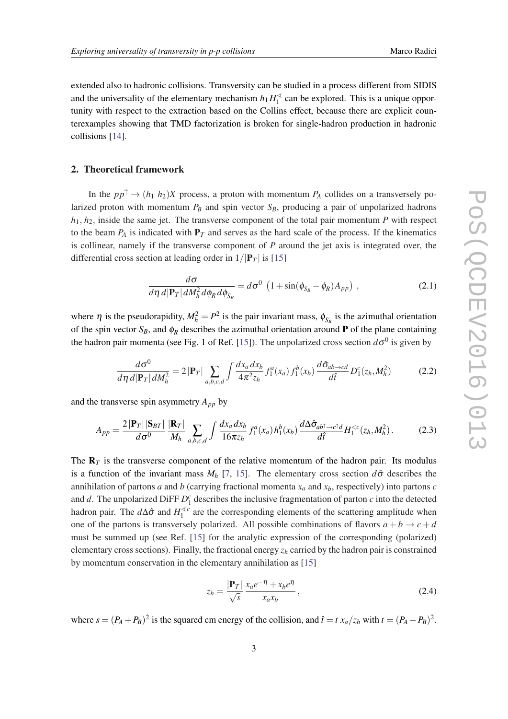<span id="page-3-0"></span>extended also to hadronic collisions. Transversity can be studied in a process different from SIDIS and the universality of the elementary mechanism  $h_1 H_1^{\leq}$  $\frac{1}{1}$  can be explored. This is a unique opportunity with respect to the extraction based on the Collins effect, because there are explicit counterexamples showing that TMD factorization is broken for single-hadron production in hadronic collisions [[14](#page-9-0)].

#### 2. Theoretical framework

In the  $pp^{\uparrow} \rightarrow (h_1 \ h_2)X$  process, a proton with momentum  $P_A$  collides on a transversely polarized proton with momentum  $P_B$  and spin vector  $S_B$ , producing a pair of unpolarized hadrons  $h_1, h_2$ , inside the same jet. The transverse component of the total pair momentum *P* with respect to the beam  $P_A$  is indicated with  $P_T$  and serves as the hard scale of the process. If the kinematics is collinear, namely if the transverse component of *P* around the jet axis is integrated over, the differential cross section at leading order in  $1/|\mathbf{P}_T|$  is [\[15](#page-9-0)]

$$
\frac{d\sigma}{d\eta\,d|\mathbf{P}_T|dM_h^2 d\phi_R d\phi_{S_B}} = d\sigma^0 \left(1 + \sin(\phi_{S_B} - \phi_R)A_{pp}\right) ,\qquad (2.1)
$$

where  $\eta$  is the pseudorapidity,  $M_h^2 = P^2$  is the pair invariant mass,  $\phi_{S_B}$  is the azimuthal orientation of the spin vector  $S_B$ , and  $\phi_R$  describes the azimuthal orientation around **P** of the plane containing the hadron pair momenta (see Fig. 1 of Ref. [[15](#page-9-0)]). The unpolarized cross section  $d\sigma^0$  is given by

$$
\frac{d\sigma^0}{d\eta\,d|\mathbf{P}_T|dM_h^2} = 2\left|\mathbf{P}_T\right| \sum_{a,b,c,d} \int \frac{dx_a dx_b}{4\pi^2 z_h} f_1^a(x_a) f_1^b(x_b) \frac{d\hat{\sigma}_{ab\to cd}}{d\hat{t}} D_1^c(z_h, M_h^2) \tag{2.2}
$$

and the transverse spin asymmetry  $A_{pp}$  by

$$
A_{pp} = \frac{2|\mathbf{P}_T||\mathbf{S}_{BT}|}{d\sigma^0} \frac{|\mathbf{R}_T|}{M_h} \sum_{a,b,c,d} \int \frac{dx_a dx_b}{16\pi z_h} f_1^a(x_a) h_1^b(x_b) \frac{d\Delta \hat{\sigma}_{ab^\dagger \to c^\dagger d}}{d\hat{t}} H_1^{ \leq c}(z_h, M_h^2). \tag{2.3}
$$

The  **is the transverse component of the relative momentum of the hadron pair. Its modulus** is a function of the invariant mass  $M_h$  [[7](#page-9-0), [15](#page-9-0)]. The elementary cross section  $d\hat{\sigma}$  describes the annihilation of partons *a* and *b* (carrying fractional momenta *x<sup>a</sup>* and *xb*, respectively) into partons *c* and *d*. The unpolarized DiFF  $D_1^c$  describes the inclusive fragmentation of parton *c* into the detected hadron pair. The  $d\Delta\hat{\sigma}$  and  $H_1^{\leq c}$  are the corresponding elements of the scattering amplitude when one of the partons is transversely polarized. All possible combinations of flavors  $a + b \rightarrow c + d$ must be summed up (see Ref. [\[15\]](#page-9-0) for the analytic expression of the corresponding (polarized) elementary cross sections). Finally, the fractional energy *z<sup>h</sup>* carried by the hadron pair is constrained by momentum conservation in the elementary annihilation as [\[15](#page-9-0)]

$$
z_h = \frac{|\mathbf{P}_T|}{\sqrt{s}} \frac{x_a e^{-\eta} + x_b e^{\eta}}{x_a x_b},
$$
\n(2.4)

where  $s = (P_A + P_B)^2$  is the squared cm energy of the collision, and  $\hat{t} = t x_a/z_h$  with  $t = (P_A - P_B)^2$ .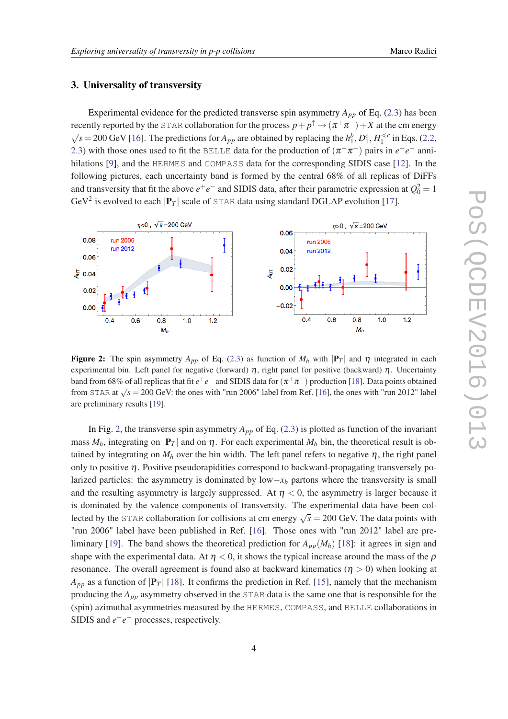#### <span id="page-4-0"></span>3. Universality of transversity

Experimental evidence for the predicted transverse spin asymmetry  $A_{pp}$  of Eq. ([2.3](#page-3-0)) has been recently reported by the STAR collaboration for the process  $p+p^\uparrow \to (\pi^+\pi^-)+X$  at the cm energy √  $\overline{s} = 200 \text{ GeV}$  [\[16](#page-9-0)]. The predictions for  $A_{pp}$  are obtained by replacing the  $h_1^b$ ,  $D_1^c$ ,  $H_1^{\leq c}$  in Eqs. ([2.2](#page-3-0), [2.3\)](#page-3-0) with those ones used to fit the BELLE data for the production of  $(\pi^+\pi^-)$  pairs in  $e^+e^-$  annihilations [[9](#page-9-0)], and the HERMES and COMPASS data for the corresponding SIDIS case [\[12](#page-9-0)]. In the following pictures, each uncertainty band is formed by the central 68% of all replicas of DiFFs and transversity that fit the above  $e^+e^-$  and SIDIS data, after their parametric expression at  $Q_0^2 = 1$ GeV<sup>2</sup> is evolved to each  $|\mathbf{P}_T|$  scale of STAR data using standard DGLAP evolution [\[17](#page-9-0)].



Figure 2: The spin asymmetry  $A_{pp}$  of Eq. [\(2.3\)](#page-3-0) as function of  $M_h$  with  $|P_T|$  and  $\eta$  integrated in each experimental bin. Left panel for negative (forward)  $\eta$ , right panel for positive (backward)  $\eta$ . Uncertainty band from 68% of all replicas that fit  $e^+e^-$  and SIDIS data for  $(\pi^+\pi^-)$  production [[18\]](#page-9-0). Data points obtained from STAR at  $\sqrt{s} = 200$  GeV: the ones with "run 2006" label from Ref. [\[16\]](#page-9-0), the ones with "run 2012" label are preliminary results [[19\]](#page-9-0).

In Fig. 2, the transverse spin asymmetry  $A_{pp}$  of Eq. ([2.3](#page-3-0)) is plotted as function of the invariant mass  $M_h$ , integrating on  $|\mathbf{P}_T|$  and on  $\eta$ . For each experimental  $M_h$  bin, the theoretical result is obtained by integrating on  $M_h$  over the bin width. The left panel refers to negative  $\eta$ , the right panel only to positive  $\eta$ . Positive pseudorapidities correspond to backward-propagating transversely polarized particles: the asymmetry is dominated by low−*x<sup>b</sup>* partons where the transversity is small and the resulting asymmetry is largely suppressed. At  $\eta < 0$ , the asymmetry is larger because it is dominated by the valence components of transversity. The experimental data have been collected by the STAR collaboration for collisions at cm energy  $\sqrt{s} = 200$  GeV. The data points with "run 2006" label have been published in Ref. [[16\]](#page-9-0). Those ones with "run 2012" label are pre-liminary [\[19](#page-9-0)]. The band shows the theoretical prediction for  $A_{pp}(M_h)$  [[18\]](#page-9-0): it agrees in sign and shape with the experimental data. At  $\eta$  < 0, it shows the typical increase around the mass of the  $\rho$ resonance. The overall agreement is found also at backward kinematics ( $\eta > 0$ ) when looking at  $A_{pp}$  as a function of  $|\mathbf{P}_T|$  [\[18](#page-9-0)]. It confirms the prediction in Ref. [\[15](#page-9-0)], namely that the mechanism producing the *App* asymmetry observed in the STAR data is the same one that is responsible for the (spin) azimuthal asymmetries measured by the HERMES, COMPASS, and BELLE collaborations in SIDIS and  $e^+e^-$  processes, respectively.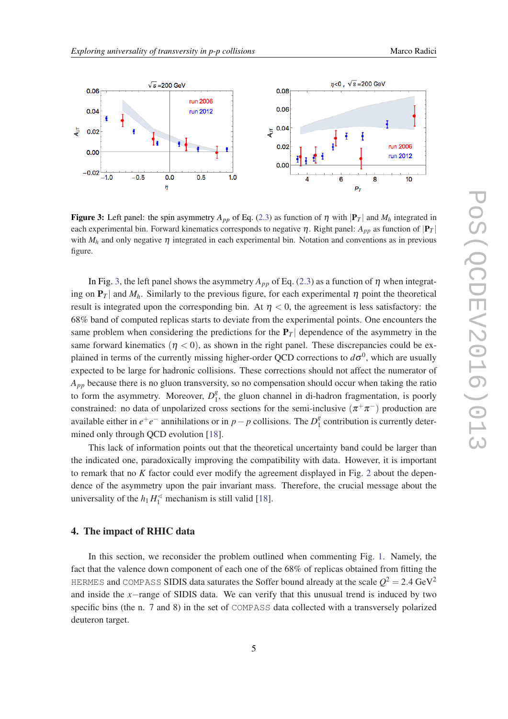<span id="page-5-0"></span>

**Figure 3:** Left panel: the spin asymmetry  $A_{pp}$  of Eq. [\(2.3\)](#page-3-0) as function of  $\eta$  with  $|P_T|$  and  $M_h$  integrated in each experimental bin. Forward kinematics corresponds to negative  $\eta$ . Right panel:  $A_{pp}$  as function of  $|P_T|$ with  $M_h$  and only negative  $\eta$  integrated in each experimental bin. Notation and conventions as in previous figure.

In Fig. 3, the left panel shows the asymmetry  $A_{pp}$  of Eq. ([2.3](#page-3-0)) as a function of  $\eta$  when integrating on  $P_T$  and  $M_h$ . Similarly to the previous figure, for each experimental  $\eta$  point the theoretical result is integrated upon the corresponding bin. At  $\eta < 0$ , the agreement is less satisfactory: the 68% band of computed replicas starts to deviate from the experimental points. One encounters the same problem when considering the predictions for the  $P_T$  dependence of the asymmetry in the same forward kinematics  $(\eta < 0)$ , as shown in the right panel. These discrepancies could be explained in terms of the currently missing higher-order QCD corrections to  $d\sigma^0$ , which are usually expected to be large for hadronic collisions. These corrections should not affect the numerator of *App* because there is no gluon transversity, so no compensation should occur when taking the ratio to form the asymmetry. Moreover,  $D_1^g$  $\frac{8}{1}$ , the gluon channel in di-hadron fragmentation, is poorly constrained: no data of unpolarized cross sections for the semi-inclusive  $(\pi^+\pi^-)$  production are available either in  $e^+e^-$  annihilations or in *p* − *p* collisions. The  $D_1^g$  $\frac{1}{1}$  contribution is currently determined only through QCD evolution [[18\]](#page-9-0).

This lack of information points out that the theoretical uncertainty band could be larger than the indicated one, paradoxically improving the compatibility with data. However, it is important to remark that no *K* factor could ever modify the agreement displayed in Fig. [2](#page-4-0) about the dependence of the asymmetry upon the pair invariant mass. Therefore, the crucial message about the universality of the  $h_1 H_1^{\leq}$  mechanism is still valid [\[18](#page-9-0)].

#### 4. The impact of RHIC data

In this section, we reconsider the problem outlined when commenting Fig. [1.](#page-2-0) Namely, the fact that the valence down component of each one of the 68% of replicas obtained from fitting the <code>HERMES</code> and <code>COMPASS</code> SIDIS data saturates the Soffer bound already at the scale  $Q^2$  = 2.4 GeV $^2$ and inside the *x*−range of SIDIS data. We can verify that this unusual trend is induced by two specific bins (the n. 7 and 8) in the set of COMPASS data collected with a transversely polarized deuteron target.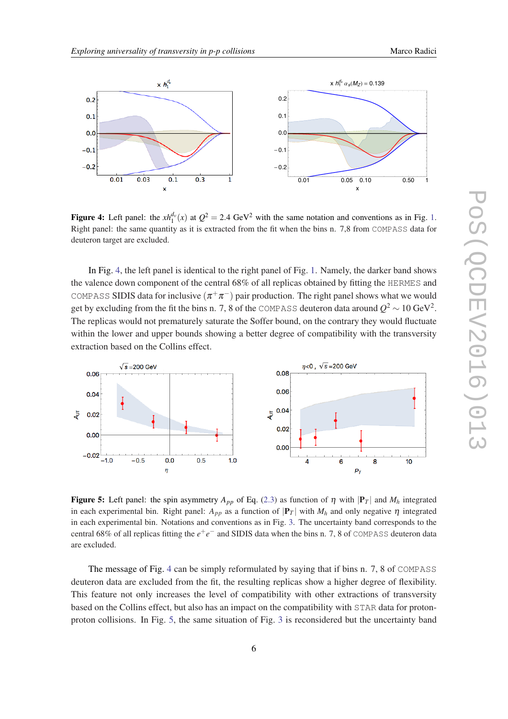

**Figure 4:** Left panel: the  $xh_1^{d_v}(x)$  $xh_1^{d_v}(x)$  $xh_1^{d_v}(x)$  at  $Q^2 = 2.4 \text{ GeV}^2$  with the same notation and conventions as in Fig. 1. Right panel: the same quantity as it is extracted from the fit when the bins n. 7,8 from COMPASS data for deuteron target are excluded.

In Fig. 4, the left panel is identical to the right panel of Fig. [1](#page-2-0). Namely, the darker band shows the valence down component of the central 68% of all replicas obtained by fitting the HERMES and COMPASS SIDIS data for inclusive  $(\pi^+\pi^-)$  pair production. The right panel shows what we would get by excluding from the fit the bins n. 7, 8 of the <code>COMPASS</code> deuteron data around  $Q^2$   $\sim$   $10$  GeV $^2$ . The replicas would not prematurely saturate the Soffer bound, on the contrary they would fluctuate within the lower and upper bounds showing a better degree of compatibility with the transversity extraction based on the Collins effect.



Figure 5: Left panel: the spin asymmetry  $A_{pp}$  of Eq. [\(2.3\)](#page-3-0) as function of  $\eta$  with  $|\mathbf{P}_T|$  and  $M_h$  integrated in each experimental bin. Right panel:  $A_{pp}$  as a function of  $|\mathbf{P}_T|$  with  $M_h$  and only negative  $\eta$  integrated in each experimental bin. Notations and conventions as in Fig. [3](#page-5-0). The uncertainty band corresponds to the central 68% of all replicas fitting the *e* +*e* <sup>−</sup> and SIDIS data when the bins n. 7, 8 of COMPASS deuteron data are excluded.

The message of Fig. 4 can be simply reformulated by saying that if bins n. 7, 8 of COMPASS deuteron data are excluded from the fit, the resulting replicas show a higher degree of flexibility. This feature not only increases the level of compatibility with other extractions of transversity based on the Collins effect, but also has an impact on the compatibility with STAR data for protonproton collisions. In Fig. 5, the same situation of Fig. [3](#page-5-0) is reconsidered but the uncertainty band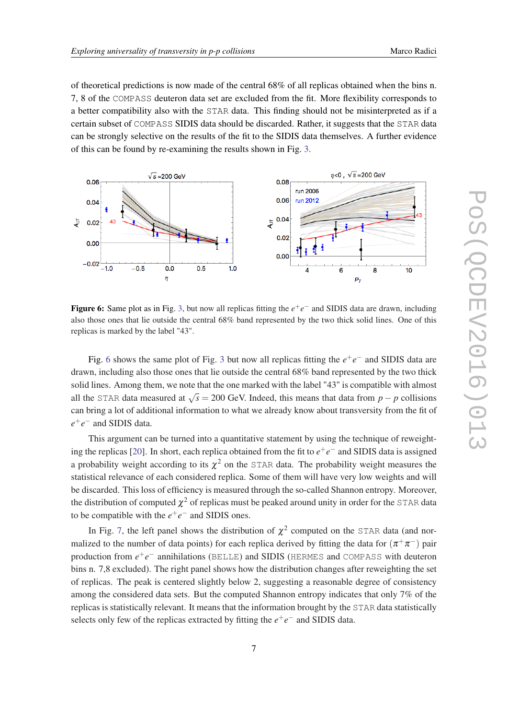of theoretical predictions is now made of the central 68% of all replicas obtained when the bins n. 7, 8 of the COMPASS deuteron data set are excluded from the fit. More flexibility corresponds to a better compatibility also with the STAR data. This finding should not be misinterpreted as if a certain subset of COMPASS SIDIS data should be discarded. Rather, it suggests that the STAR data can be strongly selective on the results of the fit to the SIDIS data themselves. A further evidence of this can be found by re-examining the results shown in Fig. [3.](#page-5-0)



**Figure 6:** Same plot as in Fig. [3,](#page-5-0) but now all replicas fitting the  $e^+e^-$  and SIDIS data are drawn, including also those ones that lie outside the central 68% band represented by the two thick solid lines. One of this replicas is marked by the label "43".

Fig. 6 shows the same plot of Fig. [3](#page-5-0) but now all replicas fitting the  $e^+e^-$  and SIDIS data are drawn, including also those ones that lie outside the central 68% band represented by the two thick solid lines. Among them, we note that the one marked with the label "43" is compatible with almost all the STAR data measured at  $\sqrt{s} = 200$  GeV. Indeed, this means that data from *p* − *p* collisions can bring a lot of additional information to what we already know about transversity from the fit of *e* +*e* <sup>−</sup> and SIDIS data.

This argument can be turned into a quantitative statement by using the technique of reweight-ing the replicas [\[20](#page-9-0)]. In short, each replica obtained from the fit to  $e^+e^-$  and SIDIS data is assigned a probability weight according to its  $\chi^2$  on the STAR data. The probability weight measures the statistical relevance of each considered replica. Some of them will have very low weights and will be discarded. This loss of efficiency is measured through the so-called Shannon entropy. Moreover, the distribution of computed  $\chi^2$  of replicas must be peaked around unity in order for the STAR data to be compatible with the  $e^+e^-$  and SIDIS ones.

In Fig. [7,](#page-8-0) the left panel shows the distribution of  $\chi^2$  computed on the STAR data (and normalized to the number of data points) for each replica derived by fitting the data for  $(\pi^+\pi^-)$  pair production from  $e^+e^-$  annihilations (BELLE) and SIDIS (HERMES and COMPASS with deuteron bins n. 7,8 excluded). The right panel shows how the distribution changes after reweighting the set of replicas. The peak is centered slightly below 2, suggesting a reasonable degree of consistency among the considered data sets. But the computed Shannon entropy indicates that only 7% of the replicas is statistically relevant. It means that the information brought by the STAR data statistically selects only few of the replicas extracted by fitting the  $e^+e^-$  and SIDIS data.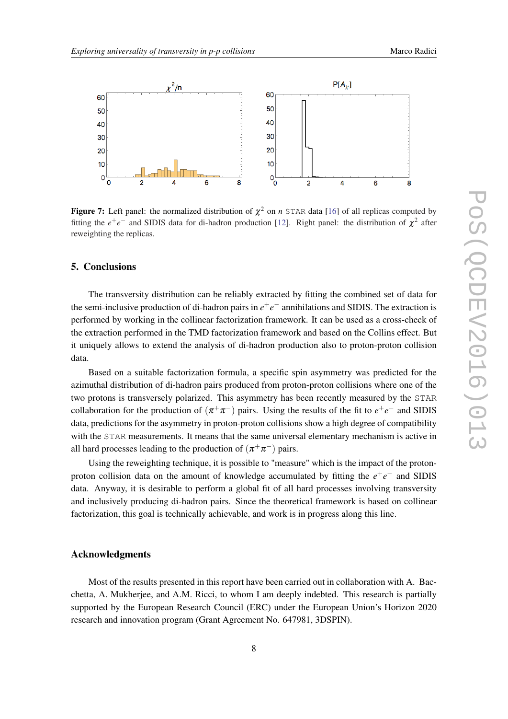<span id="page-8-0"></span>

**Figure 7:** Left panel: the normalized distribution of  $\chi^2$  on *n* STAR data [\[16](#page-9-0)] of all replicas computed by fitting the  $e^+e^-$  and SIDIS data for di-hadron production [\[12](#page-9-0)]. Right panel: the distribution of  $\chi^2$  after reweighting the replicas.

# 5. Conclusions

The transversity distribution can be reliably extracted by fitting the combined set of data for the semi-inclusive production of di-hadron pairs in  $e^+e^-$  annihilations and SIDIS. The extraction is performed by working in the collinear factorization framework. It can be used as a cross-check of the extraction performed in the TMD factorization framework and based on the Collins effect. But it uniquely allows to extend the analysis of di-hadron production also to proton-proton collision data.

Based on a suitable factorization formula, a specific spin asymmetry was predicted for the azimuthal distribution of di-hadron pairs produced from proton-proton collisions where one of the two protons is transversely polarized. This asymmetry has been recently measured by the STAR collaboration for the production of  $(\pi^+\pi^-)$  pairs. Using the results of the fit to  $e^+e^-$  and SIDIS data, predictions for the asymmetry in proton-proton collisions show a high degree of compatibility with the STAR measurements. It means that the same universal elementary mechanism is active in all hard processes leading to the production of  $(\pi^+\pi^-)$  pairs.

Using the reweighting technique, it is possible to "measure" which is the impact of the protonproton collision data on the amount of knowledge accumulated by fitting the  $e^+e^-$  and SIDIS data. Anyway, it is desirable to perform a global fit of all hard processes involving transversity and inclusively producing di-hadron pairs. Since the theoretical framework is based on collinear factorization, this goal is technically achievable, and work is in progress along this line.

#### Acknowledgments

Most of the results presented in this report have been carried out in collaboration with A. Bacchetta, A. Mukherjee, and A.M. Ricci, to whom I am deeply indebted. This research is partially supported by the European Research Council (ERC) under the European Union's Horizon 2020 research and innovation program (Grant Agreement No. 647981, 3DSPIN).